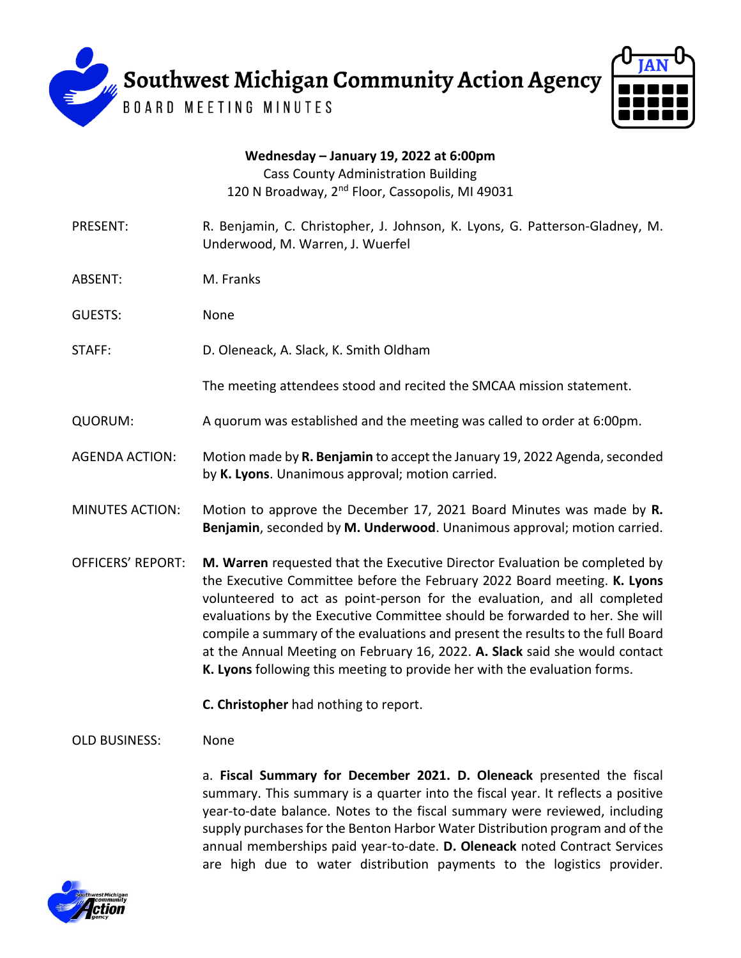

**Wednesday – January 19, 2022 at 6:00pm** Cass County Administration Building 120 N Broadway, 2<sup>nd</sup> Floor, Cassopolis, MI 49031

- PRESENT: R. Benjamin, C. Christopher, J. Johnson, K. Lyons, G. Patterson-Gladney, M. Underwood, M. Warren, J. Wuerfel
- ABSENT: M. Franks

GUESTS: None

STAFF: D. Oleneack, A. Slack, K. Smith Oldham

The meeting attendees stood and recited the SMCAA mission statement.

- QUORUM: A quorum was established and the meeting was called to order at 6:00pm.
- AGENDA ACTION: Motion made by **R. Benjamin** to accept the January 19, 2022 Agenda, seconded by **K. Lyons**. Unanimous approval; motion carried.
- MINUTES ACTION: Motion to approve the December 17, 2021 Board Minutes was made by **R. Benjamin**, seconded by **M. Underwood**. Unanimous approval; motion carried.
- OFFICERS' REPORT: **M. Warren** requested that the Executive Director Evaluation be completed by the Executive Committee before the February 2022 Board meeting. **K. Lyons** volunteered to act as point-person for the evaluation, and all completed evaluations by the Executive Committee should be forwarded to her. She will compile a summary of the evaluations and present the results to the full Board at the Annual Meeting on February 16, 2022. **A. Slack** said she would contact **K. Lyons** following this meeting to provide her with the evaluation forms.
	- **C. Christopher** had nothing to report.

OLD BUSINESS: None

a. **Fiscal Summary for December 2021. D. Oleneack** presented the fiscal summary. This summary is a quarter into the fiscal year. It reflects a positive year-to-date balance. Notes to the fiscal summary were reviewed, including supply purchases for the Benton Harbor Water Distribution program and of the annual memberships paid year-to-date. **D. Oleneack** noted Contract Services are high due to water distribution payments to the logistics provider.

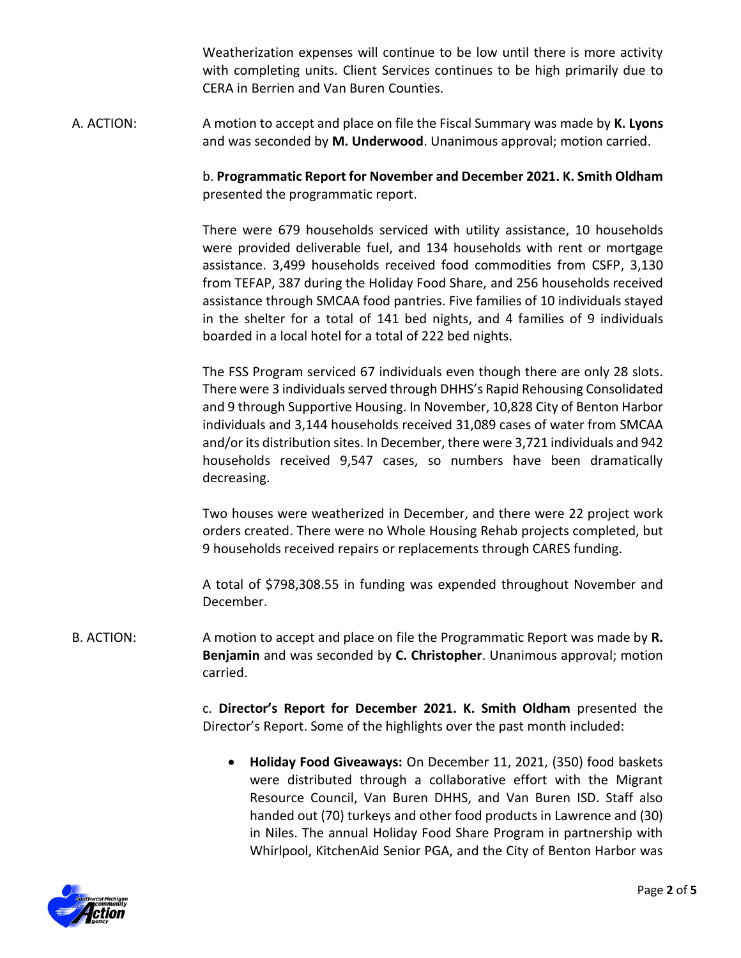Weatherization expenses will continue to be low until there is more activity with completing units. Client Services continues to be high primarily due to CERA in Berrien and Van Buren Counties.

A. ACTION: A motion to accept and place on file the Fiscal Summary was made by **K. Lyons** and was seconded by **M. Underwood**. Unanimous approval; motion carried.

> b. **Programmatic Report for November and December 2021. K. Smith Oldham**  presented the programmatic report.

> There were 679 households serviced with utility assistance, 10 households were provided deliverable fuel, and 134 households with rent or mortgage assistance. 3,499 households received food commodities from CSFP, 3,130 from TEFAP, 387 during the Holiday Food Share, and 256 households received assistance through SMCAA food pantries. Five families of 10 individuals stayed in the shelter for a total of 141 bed nights, and 4 families of 9 individuals boarded in a local hotel for a total of 222 bed nights.

> The FSS Program serviced 67 individuals even though there are only 28 slots. There were 3 individuals served through DHHS's Rapid Rehousing Consolidated and 9 through Supportive Housing. In November, 10,828 City of Benton Harbor individuals and 3,144 households received 31,089 cases of water from SMCAA and/or its distribution sites. In December, there were 3,721 individuals and 942 households received 9,547 cases, so numbers have been dramatically decreasing.

> Two houses were weatherized in December, and there were 22 project work orders created. There were no Whole Housing Rehab projects completed, but 9 households received repairs or replacements through CARES funding.

> A total of \$798,308.55 in funding was expended throughout November and December.

B. ACTION: A motion to accept and place on file the Programmatic Report was made by **R. Benjamin** and was seconded by **C. Christopher**. Unanimous approval; motion carried.

> c. **Director's Report for December 2021. K. Smith Oldham** presented the Director's Report. Some of the highlights over the past month included:

 **Holiday Food Giveaways:** On December 11, 2021, (350) food baskets were distributed through a collaborative effort with the Migrant Resource Council, Van Buren DHHS, and Van Buren ISD. Staff also handed out (70) turkeys and other food products in Lawrence and (30) in Niles. The annual Holiday Food Share Program in partnership with Whirlpool, KitchenAid Senior PGA, and the City of Benton Harbor was

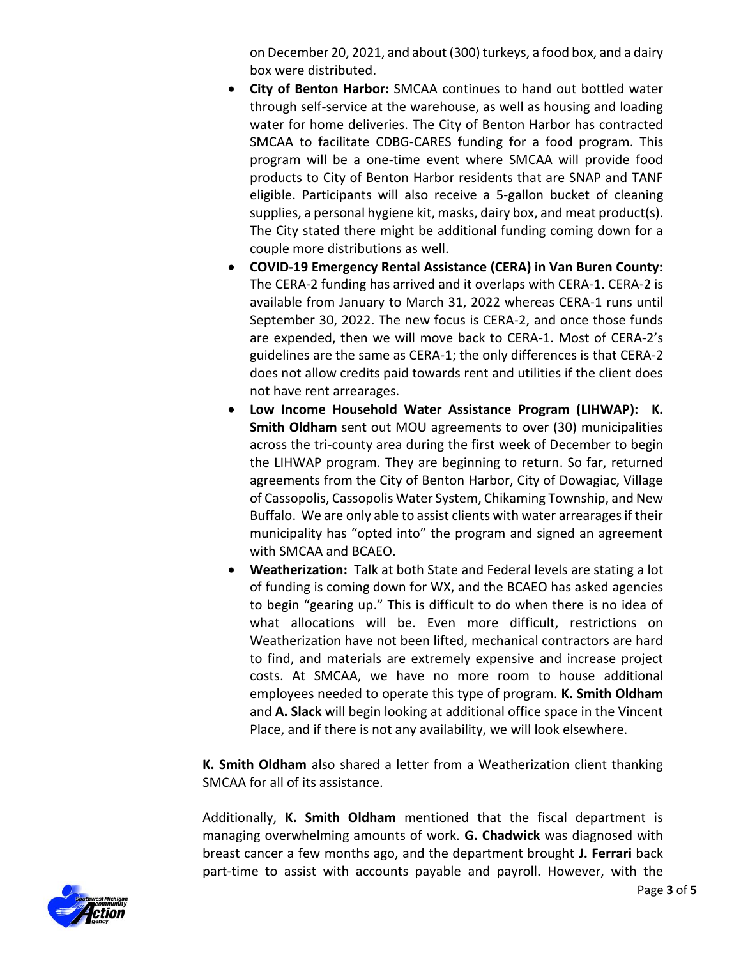on December 20, 2021, and about (300) turkeys, a food box, and a dairy box were distributed.

- **City of Benton Harbor:** SMCAA continues to hand out bottled water through self-service at the warehouse, as well as housing and loading water for home deliveries. The City of Benton Harbor has contracted SMCAA to facilitate CDBG-CARES funding for a food program. This program will be a one-time event where SMCAA will provide food products to City of Benton Harbor residents that are SNAP and TANF eligible. Participants will also receive a 5-gallon bucket of cleaning supplies, a personal hygiene kit, masks, dairy box, and meat product(s). The City stated there might be additional funding coming down for a couple more distributions as well.
- **COVID-19 Emergency Rental Assistance (CERA) in Van Buren County:**  The CERA-2 funding has arrived and it overlaps with CERA-1. CERA-2 is available from January to March 31, 2022 whereas CERA-1 runs until September 30, 2022. The new focus is CERA-2, and once those funds are expended, then we will move back to CERA-1. Most of CERA-2's guidelines are the same as CERA-1; the only differences is that CERA-2 does not allow credits paid towards rent and utilities if the client does not have rent arrearages.
- **Low Income Household Water Assistance Program (LIHWAP): K. Smith Oldham** sent out MOU agreements to over (30) municipalities across the tri-county area during the first week of December to begin the LIHWAP program. They are beginning to return. So far, returned agreements from the City of Benton Harbor, City of Dowagiac, Village of Cassopolis, Cassopolis Water System, Chikaming Township, and New Buffalo. We are only able to assist clients with water arrearages if their municipality has "opted into" the program and signed an agreement with SMCAA and BCAEO.
- **Weatherization:** Talk at both State and Federal levels are stating a lot of funding is coming down for WX, and the BCAEO has asked agencies to begin "gearing up." This is difficult to do when there is no idea of what allocations will be. Even more difficult, restrictions on Weatherization have not been lifted, mechanical contractors are hard to find, and materials are extremely expensive and increase project costs. At SMCAA, we have no more room to house additional employees needed to operate this type of program. **K. Smith Oldham** and **A. Slack** will begin looking at additional office space in the Vincent Place, and if there is not any availability, we will look elsewhere.

**K. Smith Oldham** also shared a letter from a Weatherization client thanking SMCAA for all of its assistance.

Additionally, **K. Smith Oldham** mentioned that the fiscal department is managing overwhelming amounts of work. **G. Chadwick** was diagnosed with breast cancer a few months ago, and the department brought **J. Ferrari** back part-time to assist with accounts payable and payroll. However, with the

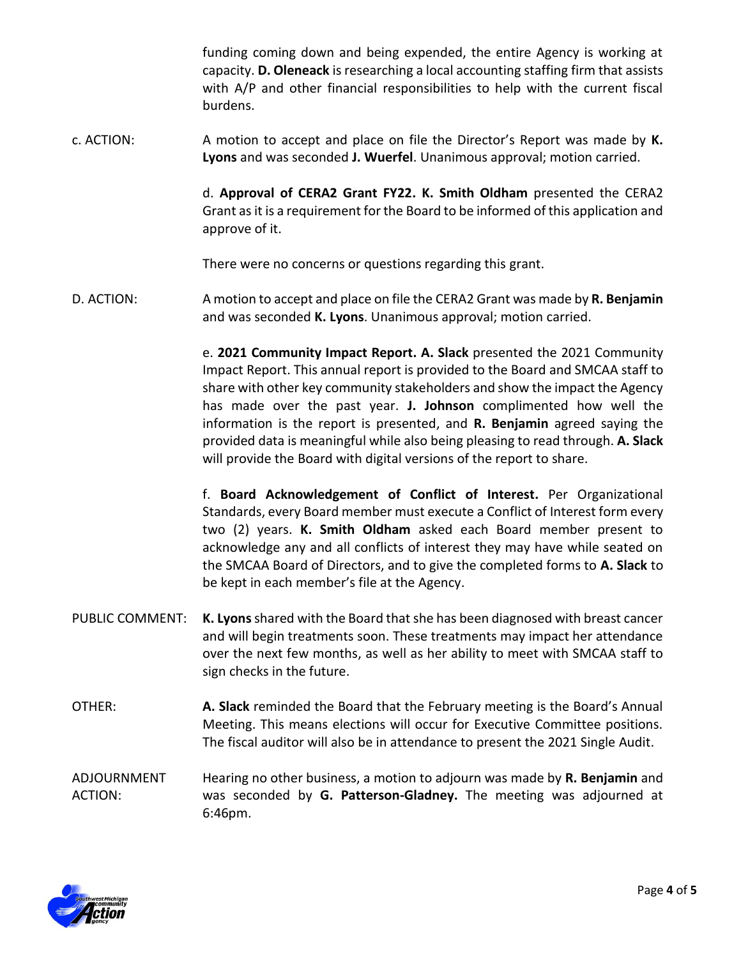funding coming down and being expended, the entire Agency is working at capacity. **D. Oleneack** is researching a local accounting staffing firm that assists with A/P and other financial responsibilities to help with the current fiscal burdens.

c. ACTION: A motion to accept and place on file the Director's Report was made by **K. Lyons** and was seconded **J. Wuerfel**. Unanimous approval; motion carried.

> d. **Approval of CERA2 Grant FY22. K. Smith Oldham** presented the CERA2 Grant as it is a requirement for the Board to be informed of this application and approve of it.

There were no concerns or questions regarding this grant.

D. ACTION: A motion to accept and place on file the CERA2 Grant was made by **R. Benjamin** and was seconded **K. Lyons**. Unanimous approval; motion carried.

> e. **2021 Community Impact Report. A. Slack** presented the 2021 Community Impact Report. This annual report is provided to the Board and SMCAA staff to share with other key community stakeholders and show the impact the Agency has made over the past year. **J. Johnson** complimented how well the information is the report is presented, and **R. Benjamin** agreed saying the provided data is meaningful while also being pleasing to read through. **A. Slack**  will provide the Board with digital versions of the report to share.

> f. **Board Acknowledgement of Conflict of Interest.** Per Organizational Standards, every Board member must execute a Conflict of Interest form every two (2) years. **K. Smith Oldham** asked each Board member present to acknowledge any and all conflicts of interest they may have while seated on the SMCAA Board of Directors, and to give the completed forms to **A. Slack** to be kept in each member's file at the Agency.

- PUBLIC COMMENT: **K. Lyons**shared with the Board that she has been diagnosed with breast cancer and will begin treatments soon. These treatments may impact her attendance over the next few months, as well as her ability to meet with SMCAA staff to sign checks in the future.
- OTHER: **A. Slack** reminded the Board that the February meeting is the Board's Annual Meeting. This means elections will occur for Executive Committee positions. The fiscal auditor will also be in attendance to present the 2021 Single Audit.
- ADJOURNMENT ACTION: Hearing no other business, a motion to adjourn was made by **R. Benjamin** and was seconded by **G. Patterson-Gladney.** The meeting was adjourned at 6:46pm.